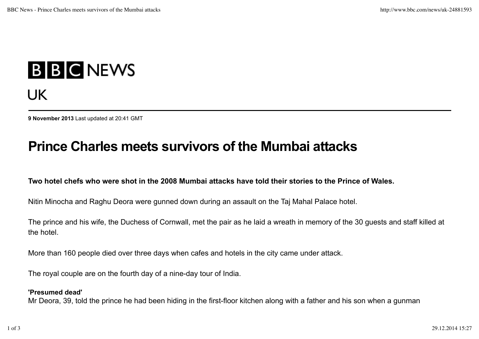# **B B C NEWS** UK

**9 November 2013** Last updated at 20:41 GMT

# **Prince Charles meets survivors of the Mumbai attacks**

## **Two hotel chefs who were shot in the 2008 Mumbai attacks have told their stories to the Prince of Wales.**

Nitin Minocha and Raghu Deora were gunned down during an assault on the Taj Mahal Palace hotel.

The prince and his wife, the Duchess of Cornwall, met the pair as he laid a wreath in memory of the 30 guests and staff killed at the hotel.

More than 160 people died over three days when cafes and hotels in the city came under attack.

The royal couple are on the fourth day of a nine-day tour of India.

#### **'Presumed dead'**

Mr Deora, 39, told the prince he had been hiding in the first-floor kitchen along with a father and his son when a gunman